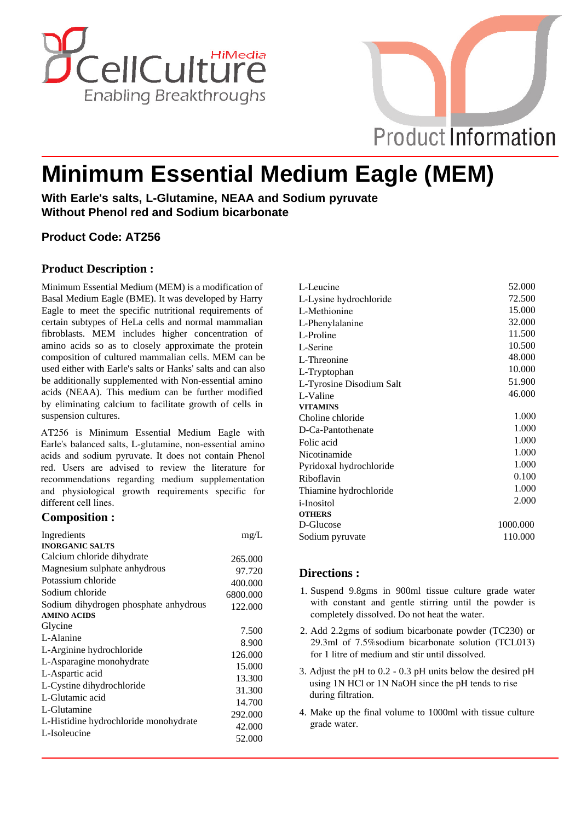



# **Minimum Essential Medium Eagle (MEM)**

**With Earle's salts, L-Glutamine, NEAA and Sodium pyruvate Without Phenol red and Sodium bicarbonate**

# **Product Code: AT256**

# **Product Description :**

Minimum Essential Medium (MEM) is a modification of Basal Medium Eagle (BME). It was developed by Harry Eagle to meet the specific nutritional requirements of certain subtypes of HeLa cells and normal mammalian fibroblasts. MEM includes higher concentration of amino acids so as to closely approximate the protein composition of cultured mammalian cells. MEM can be used either with Earle's salts or Hanks' salts and can also be additionally supplemented with Non-essential amino acids (NEAA). This medium can be further modified by eliminating calcium to facilitate growth of cells in suspension cultures.

AT256 is Minimum Essential Medium Eagle with Earle's balanced salts, L-glutamine, non-essential amino acids and sodium pyruvate. It does not contain Phenol red. Users are advised to review the literature for recommendations regarding medium supplementation and physiological growth requirements specific for different cell lines.

## **Composition :**

| mg/L     |
|----------|
|          |
| 265,000  |
| 97.720   |
| 400.000  |
| 6800.000 |
| 122.000  |
|          |
| 7.500    |
| 8.900    |
| 126.000  |
| 15.000   |
| 13.300   |
|          |
| 31.300   |
| 14.700   |
| 292.000  |
| 42.000   |
| 52.000   |
|          |

| L-Leucine                | 52.000   |
|--------------------------|----------|
| L-Lysine hydrochloride   | 72.500   |
| L-Methionine             | 15.000   |
| L-Phenylalanine          | 32.000   |
| L-Proline                | 11.500   |
| L-Serine                 | 10.500   |
| L-Threonine              | 48.000   |
| L-Tryptophan             | 10.000   |
| L-Tyrosine Disodium Salt | 51.900   |
| L-Valine                 | 46.000   |
| <b>VITAMINS</b>          |          |
| Choline chloride         | 1.000    |
| D-Ca-Pantothenate        | 1.000    |
| Folic acid               | 1.000    |
| Nicotinamide             | 1.000    |
| Pyridoxal hydrochloride  | 1.000    |
| Riboflavin               | 0.100    |
| Thiamine hydrochloride   | 1.000    |
| <i>i</i> -Inositol       | 2.000    |
| <b>OTHERS</b>            |          |
| D-Glucose                | 1000.000 |
| Sodium pyruvate          | 110.000  |

## **Directions :**

- 1. Suspend 9.8gms in 900ml tissue culture grade water with constant and gentle stirring until the powder is completely dissolved. Do not heat the water.
- 2. Add 2.2gms of sodium bicarbonate powder (TC230) or 29.3ml of 7.5%sodium bicarbonate solution (TCL013) for 1 litre of medium and stir until dissolved.
- 3. Adjust the pH to 0.2 0.3 pH units below the desired pH using 1N HCl or 1N NaOH since the pH tends to rise during filtration.
- 4. Make up the final volume to 1000ml with tissue culture grade water.